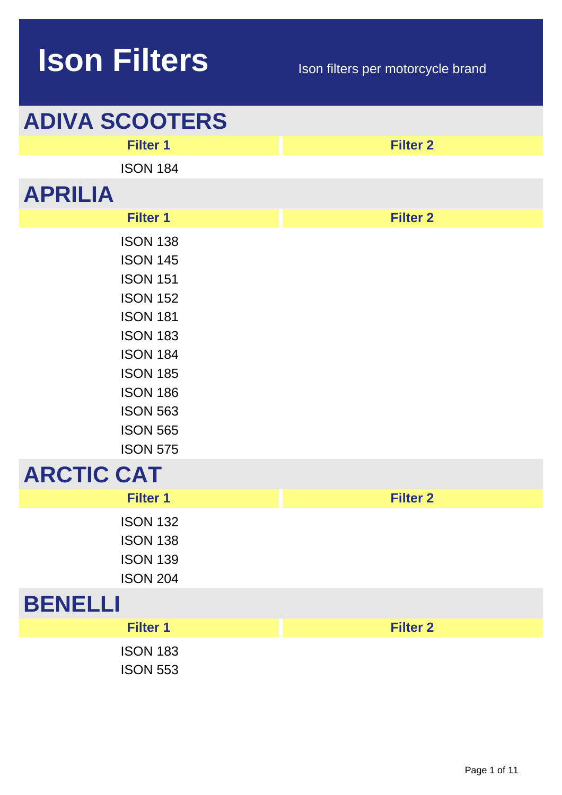| <b>ADIVA SCOOTERS</b>                                                                                                                                                                                                            |                 |
|----------------------------------------------------------------------------------------------------------------------------------------------------------------------------------------------------------------------------------|-----------------|
| <b>Filter 1</b>                                                                                                                                                                                                                  | <b>Filter 2</b> |
| <b>ISON 184</b>                                                                                                                                                                                                                  |                 |
| <b>APRILIA</b>                                                                                                                                                                                                                   |                 |
| <b>Filter 1</b>                                                                                                                                                                                                                  | <b>Filter 2</b> |
| <b>ISON 138</b><br><b>ISON 145</b><br><b>ISON 151</b><br><b>ISON 152</b><br><b>ISON 181</b><br><b>ISON 183</b><br><b>ISON 184</b><br><b>ISON 185</b><br><b>ISON 186</b><br><b>ISON 563</b><br><b>ISON 565</b><br><b>ISON 575</b> |                 |
| <b>ARCTIC CAT</b>                                                                                                                                                                                                                |                 |
| <b>Filter 1</b>                                                                                                                                                                                                                  | <b>Filter 2</b> |
| <b>ISON 132</b><br><b>ISON 138</b><br><b>ISON 139</b><br><b>ISON 204</b>                                                                                                                                                         |                 |
| <b>BENELLI</b>                                                                                                                                                                                                                   |                 |
| <b>Filter 1</b>                                                                                                                                                                                                                  | <b>Filter 2</b> |
| <b>ISON 183</b><br><b>ISON 553</b>                                                                                                                                                                                               |                 |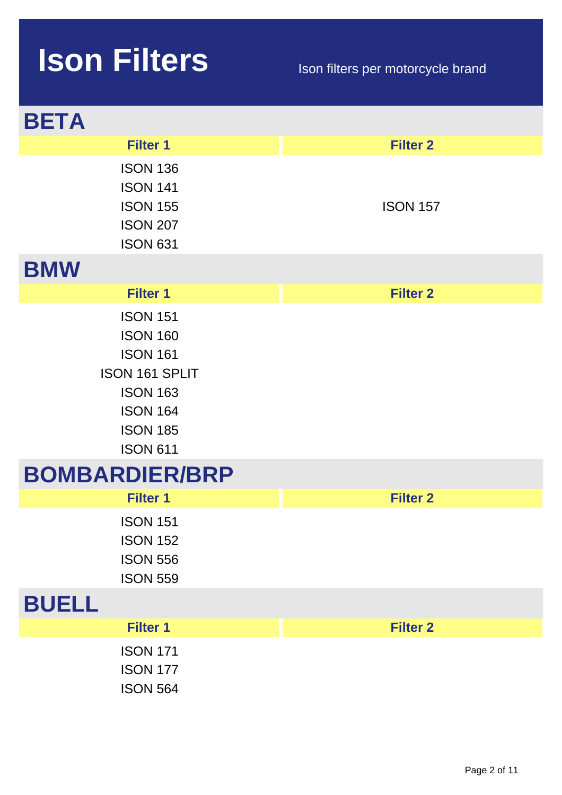| <b>BETA</b>                                                                                                                                         |                 |
|-----------------------------------------------------------------------------------------------------------------------------------------------------|-----------------|
| <b>Filter 1</b>                                                                                                                                     | <b>Filter 2</b> |
| <b>ISON 136</b><br><b>ISON 141</b><br><b>ISON 155</b><br><b>ISON 207</b><br><b>ISON 631</b>                                                         | <b>ISON 157</b> |
| <b>BMW</b>                                                                                                                                          |                 |
| <b>Filter 1</b>                                                                                                                                     | <b>Filter 2</b> |
| <b>ISON 151</b><br><b>ISON 160</b><br><b>ISON 161</b><br>ISON 161 SPLIT<br><b>ISON 163</b><br><b>ISON 164</b><br><b>ISON 185</b><br><b>ISON 611</b> |                 |
| <b>BOMBARDIER/BRP</b>                                                                                                                               |                 |
| <b>Filter 1</b>                                                                                                                                     | <b>Filter 2</b> |
| <b>ISON 151</b><br><b>ISON 152</b><br><b>ISON 556</b><br><b>ISON 559</b>                                                                            |                 |
| <b>BUELL</b>                                                                                                                                        |                 |
| <b>Filter 1</b>                                                                                                                                     | <b>Filter 2</b> |
| <b>ISON 171</b><br><b>ISON 177</b><br><b>ISON 564</b>                                                                                               |                 |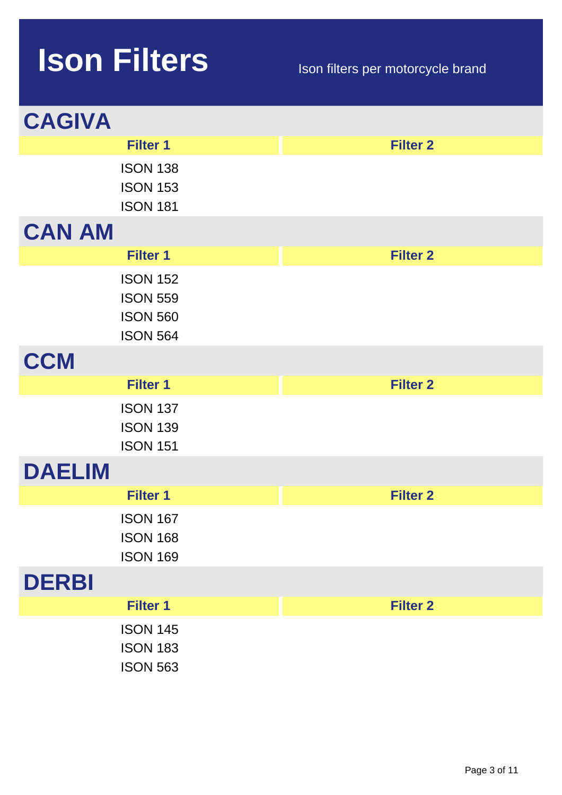| <b>CAGIVA</b> |                                                                          |                 |  |
|---------------|--------------------------------------------------------------------------|-----------------|--|
|               | <b>Filter 1</b>                                                          | <b>Filter 2</b> |  |
|               | <b>ISON 138</b><br><b>ISON 153</b><br><b>ISON 181</b>                    |                 |  |
| <b>CAN AM</b> |                                                                          |                 |  |
|               | <b>Filter 1</b>                                                          | <b>Filter 2</b> |  |
|               | <b>ISON 152</b><br><b>ISON 559</b><br><b>ISON 560</b><br><b>ISON 564</b> |                 |  |
| <b>CCM</b>    |                                                                          |                 |  |
|               | <b>Filter 1</b>                                                          | <b>Filter 2</b> |  |
|               | <b>ISON 137</b><br><b>ISON 139</b><br><b>ISON 151</b>                    |                 |  |
| <b>DAELIM</b> |                                                                          |                 |  |
|               | <b>Filter 1</b>                                                          | <b>Filter 2</b> |  |
|               | <b>ISON 167</b><br><b>ISON 168</b><br><b>ISON 169</b>                    |                 |  |
| <b>DERBI</b>  |                                                                          |                 |  |
|               | <b>Filter 1</b>                                                          | <b>Filter 2</b> |  |
|               | <b>ISON 145</b><br><b>ISON 183</b><br><b>ISON 563</b>                    |                 |  |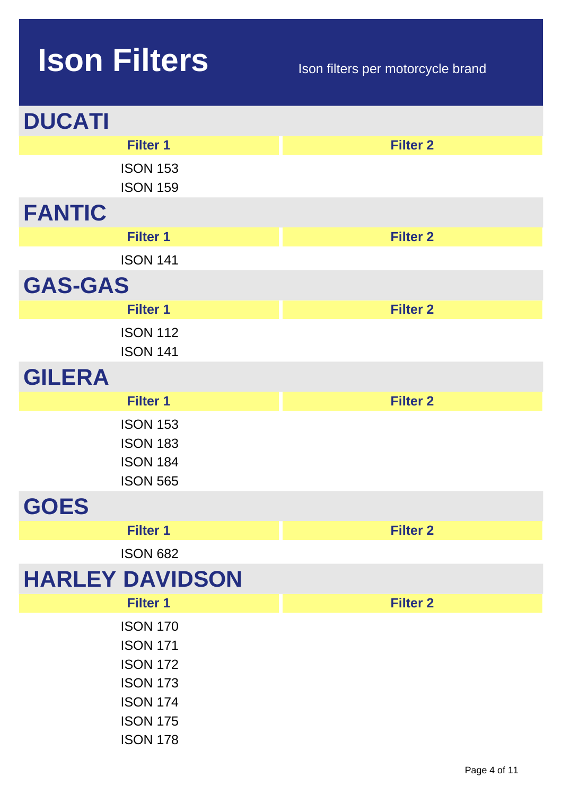| <b>DUCATI</b>                                                                                                                     |                 |
|-----------------------------------------------------------------------------------------------------------------------------------|-----------------|
| <b>Filter 1</b>                                                                                                                   | <b>Filter 2</b> |
| <b>ISON 153</b><br><b>ISON 159</b>                                                                                                |                 |
| <b>FANTIC</b>                                                                                                                     |                 |
| <b>Filter 1</b>                                                                                                                   | <b>Filter 2</b> |
| <b>ISON 141</b>                                                                                                                   |                 |
| <b>GAS-GAS</b>                                                                                                                    |                 |
| <b>Filter 1</b>                                                                                                                   | <b>Filter 2</b> |
| <b>ISON 112</b><br><b>ISON 141</b>                                                                                                |                 |
| <b>GILERA</b>                                                                                                                     |                 |
| <b>Filter 1</b>                                                                                                                   | <b>Filter 2</b> |
| <b>ISON 153</b><br><b>ISON 183</b><br><b>ISON 184</b><br><b>ISON 565</b>                                                          |                 |
| <b>GOES</b>                                                                                                                       |                 |
| <b>Filter 1</b>                                                                                                                   | <b>Filter 2</b> |
| <b>ISON 682</b>                                                                                                                   |                 |
| <b>HARLEY DAVIDSON</b>                                                                                                            |                 |
| <b>Filter 1</b>                                                                                                                   | <b>Filter 2</b> |
| <b>ISON 170</b><br><b>ISON 171</b><br><b>ISON 172</b><br><b>ISON 173</b><br><b>ISON 174</b><br><b>ISON 175</b><br><b>ISON 178</b> |                 |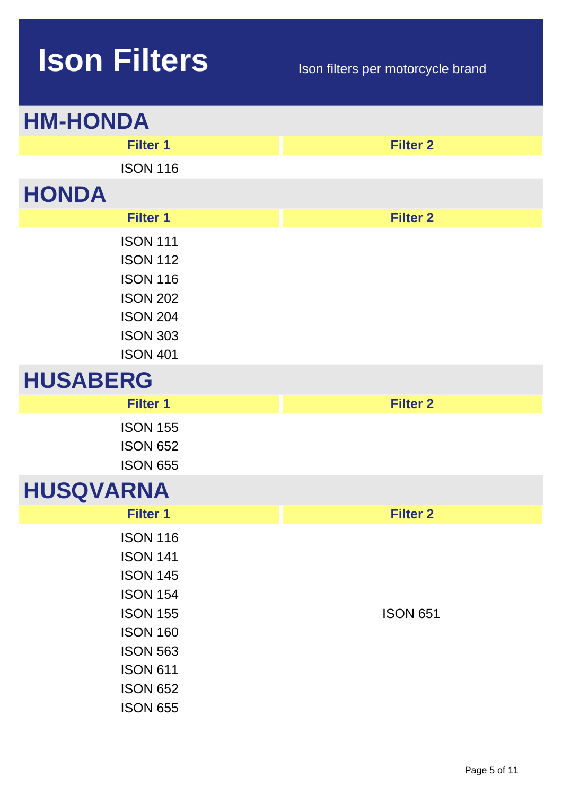| <b>HM-HONDA</b>                                                                                                                                                                            |                 |
|--------------------------------------------------------------------------------------------------------------------------------------------------------------------------------------------|-----------------|
| <b>Filter 1</b>                                                                                                                                                                            | <b>Filter 2</b> |
| <b>ISON 116</b>                                                                                                                                                                            |                 |
| <b>HONDA</b>                                                                                                                                                                               |                 |
| <b>Filter 1</b>                                                                                                                                                                            | <b>Filter 2</b> |
| <b>ISON 111</b><br><b>ISON 112</b><br><b>ISON 116</b><br><b>ISON 202</b><br><b>ISON 204</b><br><b>ISON 303</b><br><b>ISON 401</b>                                                          |                 |
| <b>HUSABERG</b>                                                                                                                                                                            |                 |
| <b>Filter 1</b>                                                                                                                                                                            | <b>Filter 2</b> |
| <b>ISON 155</b><br><b>ISON 652</b><br><b>ISON 655</b>                                                                                                                                      |                 |
| <b>HUSQVARNA</b>                                                                                                                                                                           |                 |
| <b>Filter 1</b>                                                                                                                                                                            | <b>Filter 2</b> |
| <b>ISON 116</b><br><b>ISON 141</b><br><b>ISON 145</b><br><b>ISON 154</b><br><b>ISON 155</b><br><b>ISON 160</b><br><b>ISON 563</b><br><b>ISON 611</b><br><b>ISON 652</b><br><b>ISON 655</b> | <b>ISON 651</b> |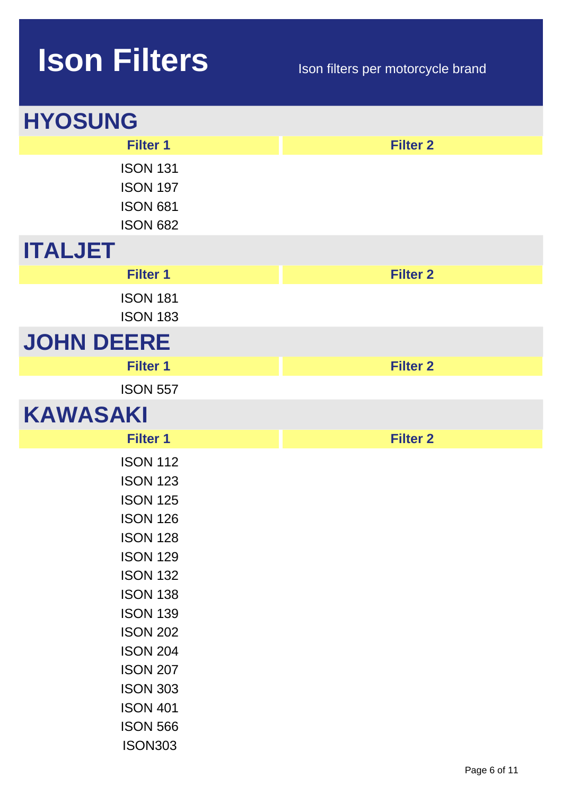| <b>HYOSUNG</b>                                                                                                                                                                                                                                                                                              |                 |
|-------------------------------------------------------------------------------------------------------------------------------------------------------------------------------------------------------------------------------------------------------------------------------------------------------------|-----------------|
| <b>Filter 1</b>                                                                                                                                                                                                                                                                                             | <b>Filter 2</b> |
| <b>ISON 131</b><br><b>ISON 197</b><br><b>ISON 681</b><br><b>ISON 682</b>                                                                                                                                                                                                                                    |                 |
| <b>ITALJET</b>                                                                                                                                                                                                                                                                                              |                 |
| <b>Filter 1</b>                                                                                                                                                                                                                                                                                             | <b>Filter 2</b> |
| <b>ISON 181</b><br><b>ISON 183</b>                                                                                                                                                                                                                                                                          |                 |
| <b>JOHN DEERE</b>                                                                                                                                                                                                                                                                                           |                 |
| <b>Filter 1</b>                                                                                                                                                                                                                                                                                             | <b>Filter 2</b> |
| <b>ISON 557</b>                                                                                                                                                                                                                                                                                             |                 |
| <b>KAWASAKI</b>                                                                                                                                                                                                                                                                                             |                 |
| <b>Filter 1</b>                                                                                                                                                                                                                                                                                             | <b>Filter 2</b> |
| <b>ISON 112</b><br><b>ISON 123</b><br><b>ISON 125</b><br><b>ISON 126</b><br><b>ISON 128</b><br><b>ISON 129</b><br><b>ISON 132</b><br><b>ISON 138</b><br><b>ISON 139</b><br><b>ISON 202</b><br><b>ISON 204</b><br><b>ISON 207</b><br><b>ISON 303</b><br><b>ISON 401</b><br><b>ISON 566</b><br><b>ISON303</b> |                 |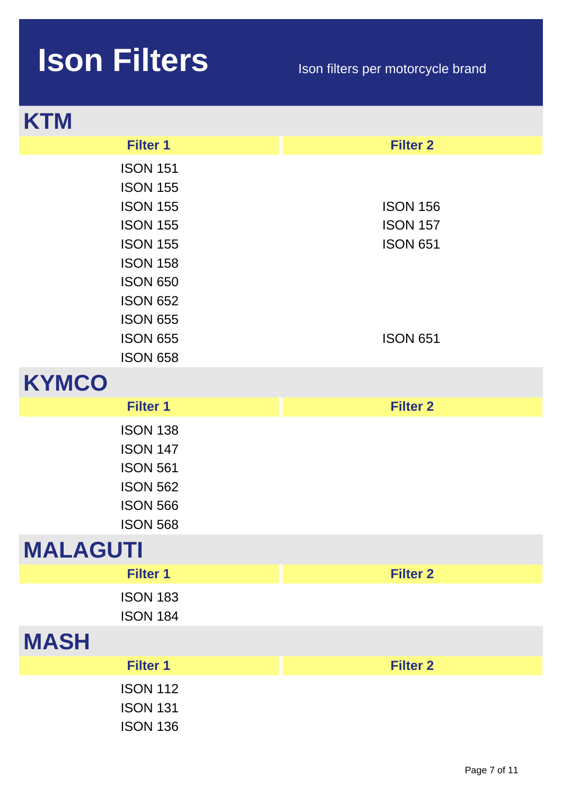| <b>KTM</b>                                                                                                                                                                                                    |                                                                          |
|---------------------------------------------------------------------------------------------------------------------------------------------------------------------------------------------------------------|--------------------------------------------------------------------------|
| <b>Filter 1</b>                                                                                                                                                                                               | <b>Filter 2</b>                                                          |
| <b>ISON 151</b><br><b>ISON 155</b><br><b>ISON 155</b><br><b>ISON 155</b><br><b>ISON 155</b><br><b>ISON 158</b><br><b>ISON 650</b><br><b>ISON 652</b><br><b>ISON 655</b><br><b>ISON 655</b><br><b>ISON 658</b> | <b>ISON 156</b><br><b>ISON 157</b><br><b>ISON 651</b><br><b>ISON 651</b> |
| <b>KYMCO</b>                                                                                                                                                                                                  |                                                                          |
|                                                                                                                                                                                                               |                                                                          |
| <b>Filter 1</b>                                                                                                                                                                                               | <b>Filter 2</b>                                                          |
| <b>ISON 138</b><br><b>ISON 147</b><br><b>ISON 561</b><br><b>ISON 562</b><br><b>ISON 566</b><br><b>ISON 568</b>                                                                                                |                                                                          |
| <b>MALAGUTI</b>                                                                                                                                                                                               |                                                                          |
| <b>Filter 1</b>                                                                                                                                                                                               | <b>Filter 2</b>                                                          |
| <b>ISON 183</b><br><b>ISON 184</b>                                                                                                                                                                            |                                                                          |
| <b>MASH</b>                                                                                                                                                                                                   |                                                                          |
| <b>Filter 1</b>                                                                                                                                                                                               | <b>Filter 2</b>                                                          |
| <b>ISON 112</b><br><b>ISON 131</b><br><b>ISON 136</b>                                                                                                                                                         |                                                                          |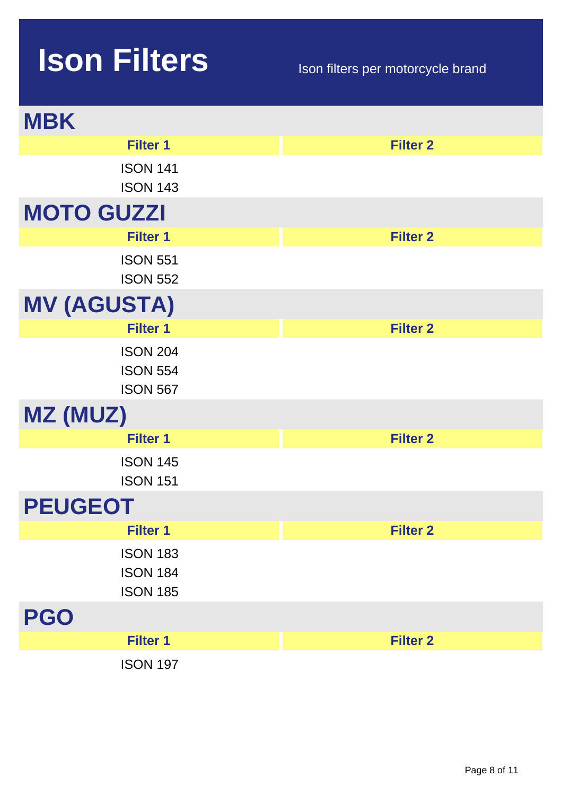| <b>MBK</b>                                            |                 |
|-------------------------------------------------------|-----------------|
| <b>Filter 1</b>                                       | <b>Filter 2</b> |
| <b>ISON 141</b><br><b>ISON 143</b>                    |                 |
| <b>MOTO GUZZI</b>                                     |                 |
| <b>Filter 1</b>                                       | <b>Filter 2</b> |
| <b>ISON 551</b><br><b>ISON 552</b>                    |                 |
| <b>MV (AGUSTA)</b>                                    |                 |
| <b>Filter 1</b>                                       | <b>Filter 2</b> |
| <b>ISON 204</b><br><b>ISON 554</b><br><b>ISON 567</b> |                 |
| MZ (MUZ)                                              |                 |
| <b>Filter 1</b>                                       | <b>Filter 2</b> |
| <b>ISON 145</b><br><b>ISON 151</b>                    |                 |
| <b>PEUGEOT</b>                                        |                 |
| <b>Filter 1</b>                                       | <b>Filter 2</b> |
| <b>ISON 183</b><br><b>ISON 184</b><br><b>ISON 185</b> |                 |
| <b>PGO</b>                                            |                 |
| <b>Filter 1</b>                                       | <b>Filter 2</b> |
| <b>ISON 197</b>                                       |                 |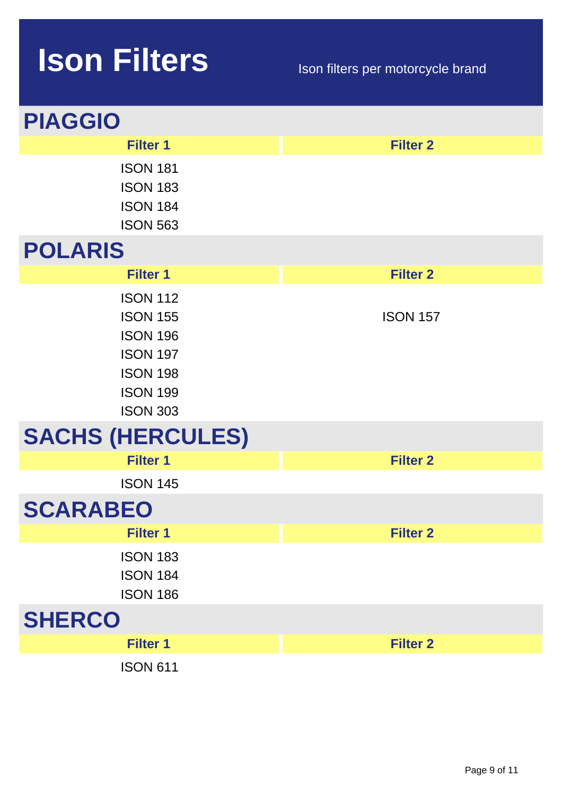| <b>PIAGGIO</b>                                                                                                                    |                 |
|-----------------------------------------------------------------------------------------------------------------------------------|-----------------|
| <b>Filter 1</b>                                                                                                                   | <b>Filter 2</b> |
| <b>ISON 181</b><br><b>ISON 183</b><br><b>ISON 184</b><br><b>ISON 563</b>                                                          |                 |
| <b>POLARIS</b>                                                                                                                    |                 |
| <b>Filter 1</b>                                                                                                                   | <b>Filter 2</b> |
| <b>ISON 112</b><br><b>ISON 155</b><br><b>ISON 196</b><br><b>ISON 197</b><br><b>ISON 198</b><br><b>ISON 199</b><br><b>ISON 303</b> | <b>ISON 157</b> |
| <b>SACHS (HERCULES)</b>                                                                                                           |                 |
| <b>Filter 1</b>                                                                                                                   | <b>Filter 2</b> |
| <b>ISON 145</b>                                                                                                                   |                 |
| <b>SCARABEO</b>                                                                                                                   |                 |
| <b>Filter 1</b>                                                                                                                   | <b>Filter 2</b> |
| <b>ISON 183</b><br><b>ISON 184</b><br><b>ISON 186</b>                                                                             |                 |
| <b>SHERCO</b>                                                                                                                     |                 |
| <b>Filter 1</b>                                                                                                                   | <b>Filter 2</b> |
| <b>ISON 611</b>                                                                                                                   |                 |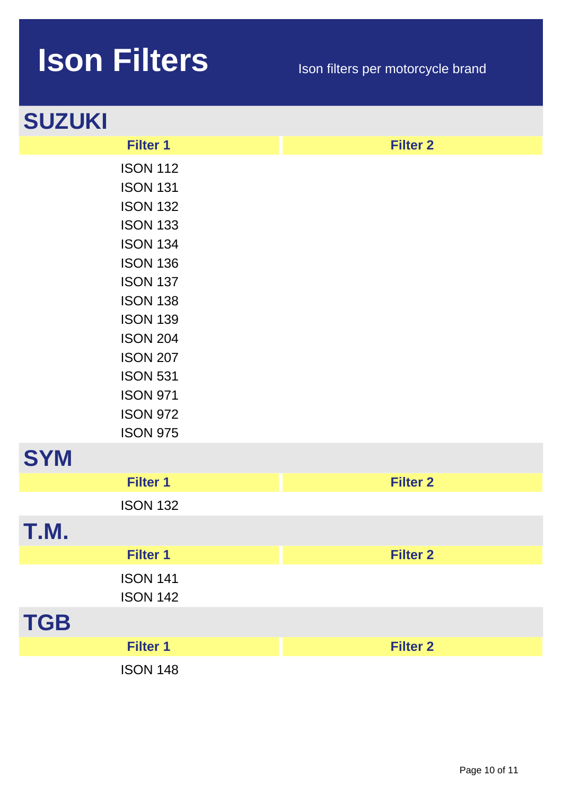| <b>SUZUKI</b>                                                                                                                                                                                                                                                                             |                 |
|-------------------------------------------------------------------------------------------------------------------------------------------------------------------------------------------------------------------------------------------------------------------------------------------|-----------------|
| <b>Filter 1</b>                                                                                                                                                                                                                                                                           | <b>Filter 2</b> |
| <b>ISON 112</b><br><b>ISON 131</b><br><b>ISON 132</b><br><b>ISON 133</b><br><b>ISON 134</b><br><b>ISON 136</b><br><b>ISON 137</b><br><b>ISON 138</b><br><b>ISON 139</b><br><b>ISON 204</b><br><b>ISON 207</b><br><b>ISON 531</b><br><b>ISON 971</b><br><b>ISON 972</b><br><b>ISON 975</b> |                 |
| <b>SYM</b>                                                                                                                                                                                                                                                                                |                 |
| <b>Filter 1</b>                                                                                                                                                                                                                                                                           | <b>Filter 2</b> |
| <b>ISON 132</b>                                                                                                                                                                                                                                                                           |                 |
| M                                                                                                                                                                                                                                                                                         |                 |
| <b>Filter 1</b>                                                                                                                                                                                                                                                                           | <b>Filter 2</b> |
| <b>ISON 141</b><br><b>ISON 142</b>                                                                                                                                                                                                                                                        |                 |
| <b>TGB</b>                                                                                                                                                                                                                                                                                |                 |
| <b>Filter 1</b>                                                                                                                                                                                                                                                                           | <b>Filter 2</b> |
| <b>ISON 148</b>                                                                                                                                                                                                                                                                           |                 |